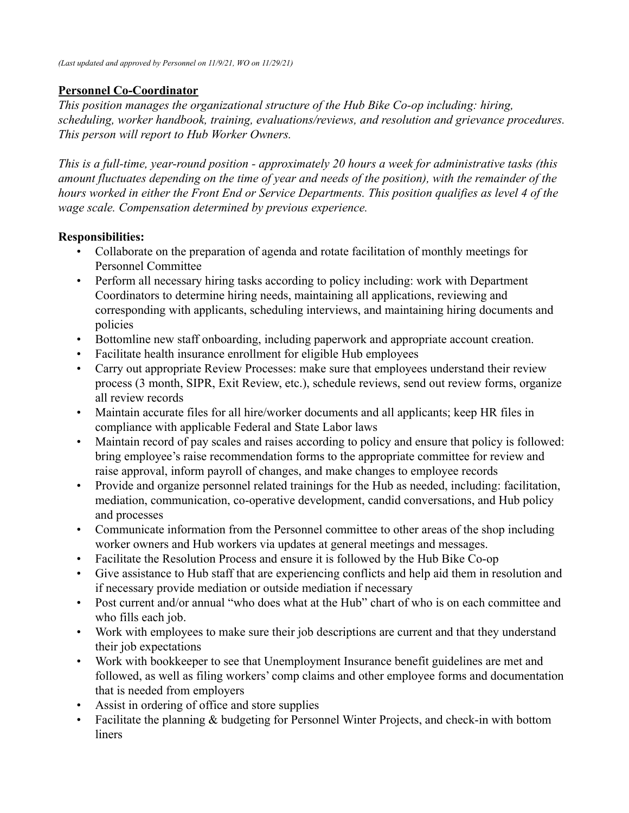## **Personnel Co-Coordinator**

*This position manages the organizational structure of the Hub Bike Co-op including: hiring, scheduling, worker handbook, training, evaluations/reviews, and resolution and grievance procedures. This person will report to Hub Worker Owners.*

*This is a full-time, year-round position - approximately 20 hours a week for administrative tasks (this amount fluctuates depending on the time of year and needs of the position), with the remainder of the hours worked in either the Front End or Service Departments. This position qualifies as level 4 of the wage scale. Compensation determined by previous experience.*

## **Responsibilities:**

- Collaborate on the preparation of agenda and rotate facilitation of monthly meetings for Personnel Committee
- Perform all necessary hiring tasks according to policy including: work with Department Coordinators to determine hiring needs, maintaining all applications, reviewing and corresponding with applicants, scheduling interviews, and maintaining hiring documents and policies
- Bottomline new staff onboarding, including paperwork and appropriate account creation.
- Facilitate health insurance enrollment for eligible Hub employees
- Carry out appropriate Review Processes: make sure that employees understand their review process (3 month, SIPR, Exit Review, etc.), schedule reviews, send out review forms, organize all review records
- Maintain accurate files for all hire/worker documents and all applicants; keep HR files in compliance with applicable Federal and State Labor laws
- Maintain record of pay scales and raises according to policy and ensure that policy is followed: bring employee's raise recommendation forms to the appropriate committee for review and raise approval, inform payroll of changes, and make changes to employee records
- Provide and organize personnel related trainings for the Hub as needed, including: facilitation, mediation, communication, co-operative development, candid conversations, and Hub policy and processes
- Communicate information from the Personnel committee to other areas of the shop including worker owners and Hub workers via updates at general meetings and messages.
- Facilitate the Resolution Process and ensure it is followed by the Hub Bike Co-op
- Give assistance to Hub staff that are experiencing conflicts and help aid them in resolution and if necessary provide mediation or outside mediation if necessary
- Post current and/or annual "who does what at the Hub" chart of who is on each committee and who fills each job.
- Work with employees to make sure their job descriptions are current and that they understand their job expectations
- Work with bookkeeper to see that Unemployment Insurance benefit guidelines are met and followed, as well as filing workers' comp claims and other employee forms and documentation that is needed from employers
- Assist in ordering of office and store supplies
- Facilitate the planning & budgeting for Personnel Winter Projects, and check-in with bottom liners